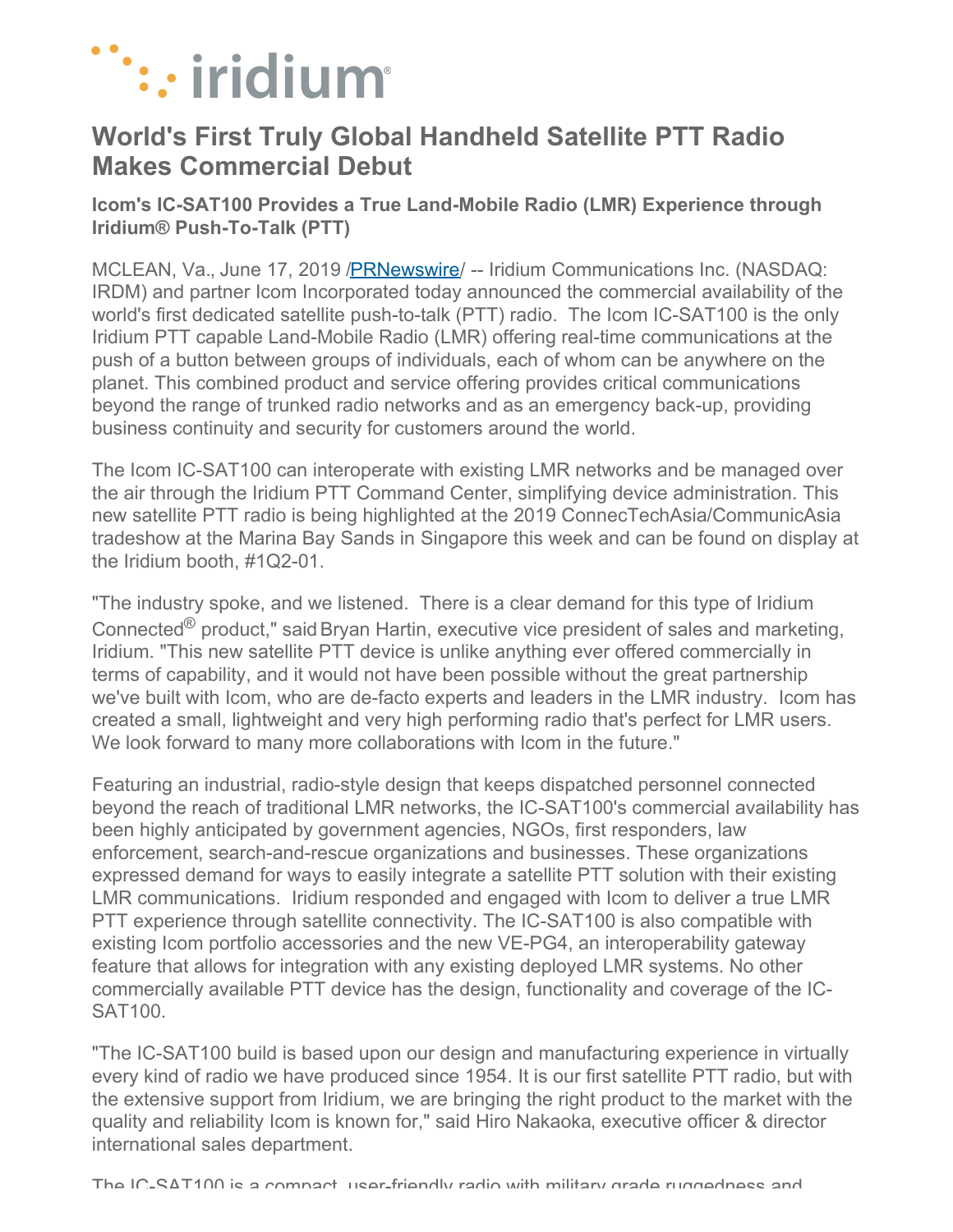

## **World's First Truly Global Handheld Satellite PTT Radio Makes Commercial Debut**

**Icom's IC-SAT100 Provides a True Land-Mobile Radio (LMR) Experience through Iridium® Push-To-Talk (PTT)**

MCLEAN, Va., June 17, 2019 [/PRNewswire](http://www.prnewswire.com/)/ -- Iridium Communications Inc. (NASDAQ: IRDM) and partner Icom Incorporated today announced the commercial availability of the world's first dedicated satellite push-to-talk (PTT) radio. The Icom IC-SAT100 is the only Iridium PTT capable Land-Mobile Radio (LMR) offering real-time communications at the push of a button between groups of individuals, each of whom can be anywhere on the planet. This combined product and service offering provides critical communications beyond the range of trunked radio networks and as an emergency back-up, providing business continuity and security for customers around the world.

The Icom IC-SAT100 can interoperate with existing LMR networks and be managed over the air through the Iridium PTT Command Center, simplifying device administration. This new satellite PTT radio is being highlighted at the 2019 ConnecTechAsia/CommunicAsia tradeshow at the Marina Bay Sands in Singapore this week and can be found on display at the Iridium booth, #1Q2-01.

"The industry spoke, and we listened. There is a clear demand for this type of Iridium Connected<sup>®</sup> product," said Bryan Hartin, executive vice president of sales and marketing, Iridium. "This new satellite PTT device is unlike anything ever offered commercially in terms of capability, and it would not have been possible without the great partnership we've built with Icom, who are de-facto experts and leaders in the LMR industry. Icom has created a small, lightweight and very high performing radio that's perfect for LMR users. We look forward to many more collaborations with Icom in the future."

Featuring an industrial, radio-style design that keeps dispatched personnel connected beyond the reach of traditional LMR networks, the IC-SAT100's commercial availability has been highly anticipated by government agencies, NGOs, first responders, law enforcement, search-and-rescue organizations and businesses. These organizations expressed demand for ways to easily integrate a satellite PTT solution with their existing LMR communications. Iridium responded and engaged with Icom to deliver a true LMR PTT experience through satellite connectivity. The IC-SAT100 is also compatible with existing Icom portfolio accessories and the new VE-PG4, an interoperability gateway feature that allows for integration with any existing deployed LMR systems. No other commercially available PTT device has the design, functionality and coverage of the IC-SAT100.

"The IC-SAT100 build is based upon our design and manufacturing experience in virtually every kind of radio we have produced since 1954. It is our first satellite PTT radio, but with the extensive support from Iridium, we are bringing the right product to the market with the quality and reliability Icom is known for," said Hiro Nakaoka, executive officer & director international sales department.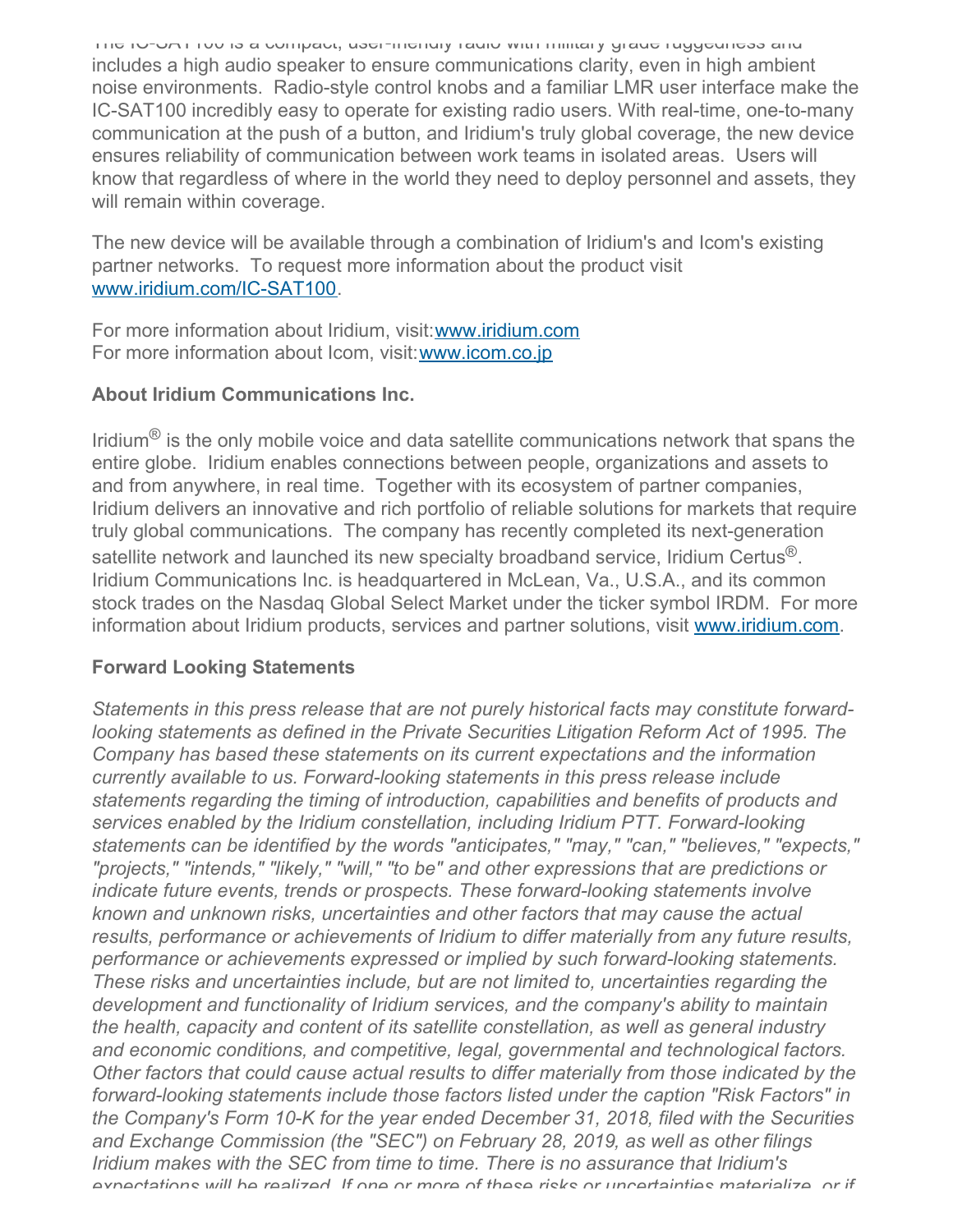The IC-SAT100 is a compact, user-friendly radio with military grade ruggedness and includes a high audio speaker to ensure communications clarity, even in high ambient noise environments. Radio-style control knobs and a familiar LMR user interface make the IC-SAT100 incredibly easy to operate for existing radio users. With real-time, one-to-many communication at the push of a button, and Iridium's truly global coverage, the new device ensures reliability of communication between work teams in isolated areas. Users will know that regardless of where in the world they need to deploy personnel and assets, they will remain within coverage.

The new device will be available through a combination of Iridium's and Icom's existing partner networks. To request more information about the product visit [www.iridium.com/IC-SAT100](https://c212.net/c/link/?t=0&l=en&o=2500420-1&h=2471317399&u=http%3A%2F%2Fwww.iridium.com%2FIC-SAT100&a=www.iridium.com%2FIC-SAT100).

For more information about Iridium, visit: [www.iridium.com](https://c212.net/c/link/?t=0&l=en&o=2500420-1&h=2032726225&u=http%3A%2F%2Fwww.iridium.com%2F&a=www.iridium.com) For more information about Icom, visit:[www.icom.co.jp](https://c212.net/c/link/?t=0&l=en&o=2500420-1&h=3379258784&u=http%3A%2F%2Fwww.icom.co.jp%2F&a=www.icom.co.jp)

## **About Iridium Communications Inc.**

Iridium<sup>®</sup> is the only mobile voice and data satellite communications network that spans the entire globe. Iridium enables connections between people, organizations and assets to and from anywhere, in real time. Together with its ecosystem of partner companies, Iridium delivers an innovative and rich portfolio of reliable solutions for markets that require truly global communications. The company has recently completed its next-generation satellite network and launched its new specialty broadband service, Iridium Certus $^{\circledR}$ . Iridium Communications Inc. is headquartered in McLean, Va., U.S.A., and its common stock trades on the Nasdaq Global Select Market under the ticker symbol IRDM. For more information about Iridium products, services and partner solutions, visit [www.iridium.com](https://c212.net/c/link/?t=0&l=en&o=2500420-1&h=3058908399&u=https%3A%2F%2Fc212.net%2Fc%2Flink%2F%3Ft%3D0%26l%3Den%26o%3D2425262-1%26h%3D15393759%26u%3Dhttp%253A%252F%252Fwww.iridium.com%252F%26a%3Dwww.iridium.com&a=www.iridium.com).

## **Forward Looking Statements**

*Statements in this press release that are not purely historical facts may constitute forwardlooking statements as defined in the Private Securities Litigation Reform Act of 1995. The Company has based these statements on its current expectations and the information currently available to us. Forward-looking statements in this press release include statements regarding the timing of introduction, capabilities and benefits of products and services enabled by the Iridium constellation, including Iridium PTT. Forward-looking statements can be identified by the words "anticipates," "may," "can," "believes," "expects," "projects," "intends," "likely," "will," "to be" and other expressions that are predictions or indicate future events, trends or prospects. These forward-looking statements involve known and unknown risks, uncertainties and other factors that may cause the actual results, performance or achievements of Iridium to differ materially from any future results, performance or achievements expressed or implied by such forward-looking statements. These risks and uncertainties include, but are not limited to, uncertainties regarding the development and functionality of Iridium services, and the company's ability to maintain the health, capacity and content of its satellite constellation, as well as general industry and economic conditions, and competitive, legal, governmental and technological factors. Other factors that could cause actual results to differ materially from those indicated by the forward-looking statements include those factors listed under the caption "Risk Factors" in the Company's Form 10-K for the year ended December 31, 2018, filed with the Securities and Exchange Commission (the "SEC") on February 28, 2019, as well as other filings Iridium makes with the SEC from time to time. There is no assurance that Iridium's expectations will be realized. If one or more of these risks or uncertainties materialize, or if*